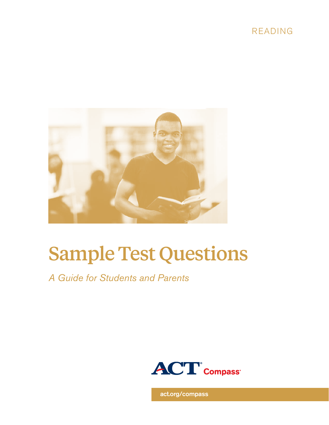



# Sample Test Questions

*A Guide for Students and Parents*



[act.org/compass](www.act.org/compass)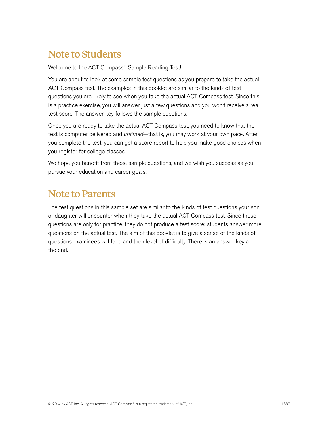# Note to Students

Welcome to the ACT Compass® Sample Reading Test!

You are about to look at some sample test questions as you prepare to take the actual ACT Compass test. The examples in this booklet are similar to the kinds of test questions you are likely to see when you take the actual ACT Compass test. Since this is a practice exercise, you will answer just a few questions and you won't receive a real test score. The answer key follows the sample questions.

Once you are ready to take the actual ACT Compass test, you need to know that the test is computer delivered and *untimed*—that is, you may work at your own pace. After you complete the test, you can get a score report to help you make good choices when you register for college classes.

We hope you benefit from these sample questions, and we wish you success as you pursue your education and career goals!

## Note to Parents

The test questions in this sample set are similar to the kinds of test questions your son or daughter will encounter when they take the actual ACT Compass test. Since these questions are only for practice, they do not produce a test score; students answer more questions on the actual test. The aim of this booklet is to give a sense of the kinds of questions examinees will face and their level of difficulty. There is an answer key at the end.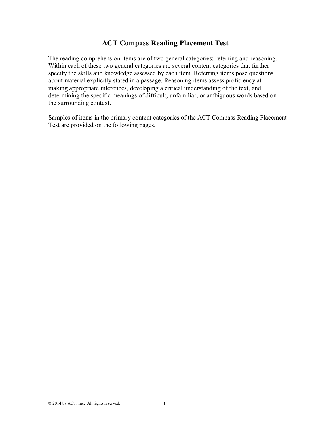## **ACT Compass Reading Placement Test**

The reading comprehension items are of two general categories: referring and reasoning. Within each of these two general categories are several content categories that further specify the skills and knowledge assessed by each item. Referring items pose questions about material explicitly stated in a passage. Reasoning items assess proficiency at making appropriate inferences, developing a critical understanding of the text, and determining the specific meanings of difficult, unfamiliar, or ambiguous words based on the surrounding context.

Samples of items in the primary content categories of the ACT Compass Reading Placement Test are provided on the following pages.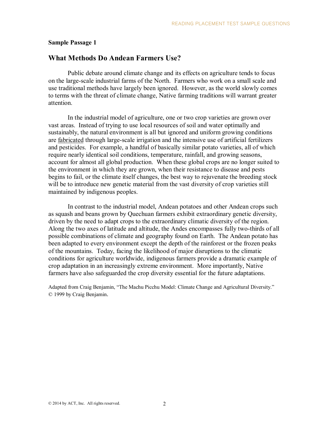#### **Sample Passage 1**

#### **What Methods Do Andean Farmers Use?**

Public debate around climate change and its effects on agriculture tends to focus on the large-scale industrial farms of the North. Farmers who work on a small scale and use traditional methods have largely been ignored. However, as the world slowly comes to terms with the threat of climate change, Native farming traditions will warrant greater attention.

In the industrial model of agriculture, one or two crop varieties are grown over vast areas. Instead of trying to use local resources of soil and water optimally and sustainably, the natural environment is all but ignored and uniform growing conditions are fabricated through large-scale irrigation and the intensive use of artificial fertilizers and pesticides. For example, a handful of basically similar potato varieties, all of which require nearly identical soil conditions, temperature, rainfall, and growing seasons, account for almost all global production. When these global crops are no longer suited to the environment in which they are grown, when their resistance to disease and pests begins to fail, or the climate itself changes, the best way to rejuvenate the breeding stock will be to introduce new genetic material from the vast diversity of crop varieties still maintained by indigenous peoples.

In contrast to the industrial model, Andean potatoes and other Andean crops such as squash and beans grown by Quechuan farmers exhibit extraordinary genetic diversity, driven by the need to adapt crops to the extraordinary climatic diversity of the region. Along the two axes of latitude and altitude, the Andes encompasses fully two-thirds of all possible combinations of climate and geography found on Earth. The Andean potato has been adapted to every environment except the depth of the rainforest or the frozen peaks of the mountains. Today, facing the likelihood of major disruptions to the climatic conditions for agriculture worldwide, indigenous farmers provide a dramatic example of crop adaptation in an increasingly extreme environment. More importantly, Native farmers have also safeguarded the crop diversity essential for the future adaptations.

Adapted from Craig Benjamin, "The Machu Picchu Model: Climate Change and Agricultural Diversity." © 1999 by Craig Benjamin.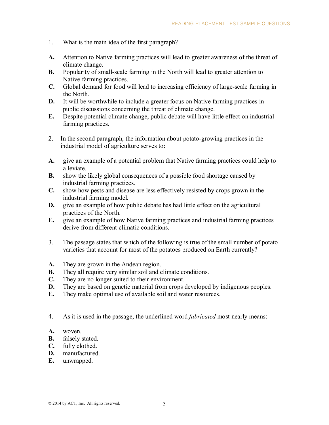- 1. What is the main idea of the first paragraph?
- **A.** Attention to Native farming practices will lead to greater awareness of the threat of climate change.
- **B.** Popularity of small-scale farming in the North will lead to greater attention to Native farming practices.
- **C.** Global demand for food will lead to increasing efficiency of large-scale farming in the North.
- **D.** It will be worthwhile to include a greater focus on Native farming practices in public discussions concerning the threat of climate change.
- **E.** Despite potential climate change, public debate will have little effect on industrial farming practices.
- 2. In the second paragraph, the information about potato-growing practices in the industrial model of agriculture serves to:
- **A.** give an example of a potential problem that Native farming practices could help to alleviate.
- **B.** show the likely global consequences of a possible food shortage caused by industrial farming practices.
- **C.** show how pests and disease are less effectively resisted by crops grown in the industrial farming model.
- **D.** give an example of how public debate has had little effect on the agricultural practices of the North.
- **E.** give an example of how Native farming practices and industrial farming practices derive from different climatic conditions.
- 3. The passage states that which of the following is true of the small number of potato varieties that account for most of the potatoes produced on Earth currently?
- **A.** They are grown in the Andean region.
- **B.** They all require very similar soil and climate conditions.
- **C.** They are no longer suited to their environment.
- **D.** They are based on genetic material from crops developed by indigenous peoples.
- **E.** They make optimal use of available soil and water resources.
- 4. As it is used in the passage, the underlined word *fabricated* most nearly means:
- **A.** woven.
- **B.** falsely stated.<br>**C.** fully clothed.
- fully clothed.
- **D.** manufactured.
- **E.** unwrapped.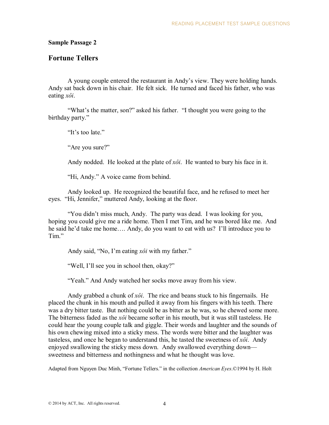#### **Sample Passage 2**

#### **Fortune Tellers**

A young couple entered the restaurant in Andy's view. They were holding hands. Andy sat back down in his chair. He felt sick. He turned and faced his father, who was eating *xôi*.

"What's the matter, son?" asked his father. "I thought you were going to the birthday party."

"It's too late."

"Are you sure?"

Andy nodded. He looked at the plate of *xôi*. He wanted to bury his face in it.

"Hi, Andy." A voice came from behind.

Andy looked up. He recognized the beautiful face, and he refused to meet her eyes. "Hi, Jennifer," muttered Andy, looking at the floor.

"You didn't miss much, Andy. The party was dead. I was looking for you, hoping you could give me a ride home. Then I met Tim, and he was bored like me. And he said he'd take me home…. Andy, do you want to eat with us? I'll introduce you to Tim."

Andy said, "No, I'm eating *xôi* with my father."

"Well, I'll see you in school then, okay?"

"Yeah." And Andy watched her socks move away from his view.

Andy grabbed a chunk of *xôi*. The rice and beans stuck to his fingernails. He placed the chunk in his mouth and pulled it away from his fingers with his teeth. There was a dry bitter taste. But nothing could be as bitter as he was, so he chewed some more. The bitterness faded as the *xôi* became softer in his mouth, but it was still tasteless. He could hear the young couple talk and giggle. Their words and laughter and the sounds of his own chewing mixed into a sticky mess. The words were bitter and the laughter was tasteless, and once he began to understand this, he tasted the sweetness of *xôi*. Andy enjoyed swallowing the sticky mess down. Andy swallowed everything down sweetness and bitterness and nothingness and what he thought was love.

Adapted from Nguyen Duc Minh, "Fortune Tellers." in the collection *American Eyes*.©1994 by H. Holt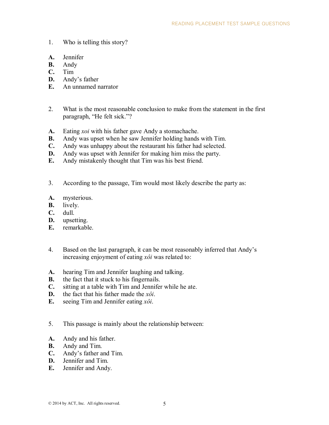- 1. Who is telling this story?
- **A.** Jennifer
- **B.** Andy
- **C.** Tim
- **D.** Andy's father
- **E.** An unnamed narrator
- 2. What is the most reasonable conclusion to make from the statement in the first paragraph, "He felt sick."?
- **A.** Eating *xoi* with his father gave Andy a stomachache.
- **B.** Andy was upset when he saw Jennifer holding hands with Tim.
- **C.** Andy was unhappy about the restaurant his father had selected.
- **D.** Andy was upset with Jennifer for making him miss the party.
- **E.** Andy mistakenly thought that Tim was his best friend.
- 3. According to the passage, Tim would most likely describe the party as:
- **A.** mysterious.
- **B.** lively.
- **C.** dull.
- **D.** upsetting.
- **E.** remarkable.
- 4. Based on the last paragraph, it can be most reasonably inferred that Andy's increasing enjoyment of eating *xôi* was related to:
- **A.** hearing Tim and Jennifer laughing and talking.
- **B.** the fact that it stuck to his fingernails.
- **C.** sitting at a table with Tim and Jennifer while he ate.
- **D.** the fact that his father made the *xôi*.
- **E.** seeing Tim and Jennifer eating *xôi*.
- 5. This passage is mainly about the relationship between:
- **A.** Andy and his father.
- **B.** Andy and Tim.
- **C.** Andy's father and Tim.
- **D.** Jennifer and Tim.
- **E.** Jennifer and Andy.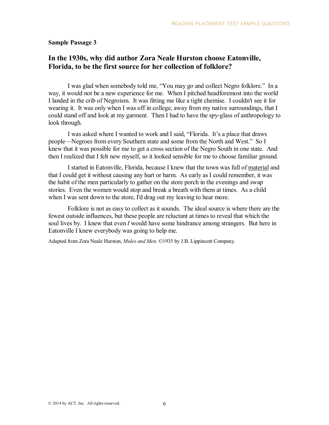#### **Sample Passage 3**

## **In the 1930s, why did author Zora Neale Hurston choose Eatonville, Florida, to be the first source for her collection of folklore?**

I was glad when somebody told me, "You may go and collect Negro folklore." In a way, it would not be a new experience for me. When I pitched headforemost into the world I landed in the crib of Negroism. It was fitting me like a tight chemise. I couldn't see it for wearing it. It was only when I was off in college, away from my native surroundings, that I could stand off and look at my garment. Then I had to have the spy-glass of anthropology to look through.

I was asked where I wanted to work and I said, "Florida. It's a place that draws people—Negroes from every Southern state and some from the North and West." So I knew that it was possible for me to get a cross section of the Negro South in one state. And then I realized that I felt new myself, so it looked sensible for me to choose familiar ground.

I started in Eatonville, Florida, because I knew that the town was full of material and that I could get it without causing any hurt or harm. As early as I could remember, it was the habit of the men particularly to gather on the store porch in the evenings and swap stories. Even the women would stop and break a breath with them at times. As a child when I was sent down to the store, I'd drag out my leaving to hear more.

Folklore is not as easy to collect as it sounds. The ideal source is where there are the fewest outside influences, but these people are reluctant at times to reveal that which the soul lives by. I knew that even *I* would have some hindrance among strangers. But here in Eatonville I knew everybody was going to help me.

Adapted from Zora Neale Hurston, *Mules and Men*. ©1935 by J.B. Lippincott Company.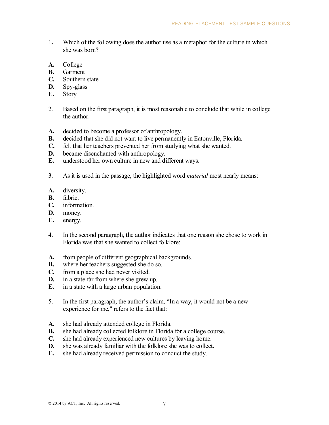- 1**.** Which of the following does the author use as a metaphor for the culture in which she was born?
- **A.** College
- **B.** Garment
- **C.** Southern state
- **D.** Spy-glass
- **E.** Story
- 2. Based on the first paragraph, it is most reasonable to conclude that while in college the author:
- **A.** decided to become a professor of anthropology.
- **B.** decided that she did not want to live permanently in Eatonville, Florida.
- **C.** felt that her teachers prevented her from studying what she wanted.
- **D.** became disenchanted with anthropology.
- **E.** understood her own culture in new and different ways.
- 3. As it is used in the passage, the highlighted word *material* most nearly means:
- **A.** diversity.
- **B.** fabric.
- **C.** information.
- **D.** money.
- **E.** energy.
- 4. In the second paragraph, the author indicates that one reason she chose to work in Florida was that she wanted to collect folklore:
- **A.** from people of different geographical backgrounds.
- **B.** where her teachers suggested she do so.<br>**C.** from a place she had never visited.
- from a place she had never visited.
- **D.** in a state far from where she grew up.
- **E.** in a state with a large urban population.
- 5. In the first paragraph, the author's claim, "In a way, it would not be a new experience for me," refers to the fact that:
- **A.** she had already attended college in Florida.
- **B.** she had already collected folklore in Florida for a college course.
- **C.** she had already experienced new cultures by leaving home.
- **D.** she was already familiar with the folklore she was to collect.
- **E.** she had already received permission to conduct the study.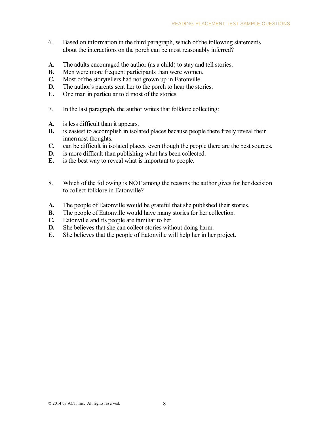- 6. Based on information in the third paragraph, which of the following statements about the interactions on the porch can be most reasonably inferred?
- **A.** The adults encouraged the author (as a child) to stay and tell stories.
- **B.** Men were more frequent participants than were women.
- **C.** Most of the storytellers had not grown up in Eatonville.
- **D.** The author's parents sent her to the porch to hear the stories.
- **E.** One man in particular told most of the stories.
- 7. In the last paragraph, the author writes that folklore collecting:
- **A.** is less difficult than it appears.
- **B.** is easiest to accomplish in isolated places because people there freely reveal their innermost thoughts.
- **C.** can be difficult in isolated places, even though the people there are the best sources.
- **D.** is more difficult than publishing what has been collected.
- **E.** is the best way to reveal what is important to people.
- 8. Which of the following is NOT among the reasons the author gives for her decision to collect folklore in Eatonville?
- **A.** The people of Eatonville would be grateful that she published their stories.
- **B.** The people of Eatonville would have many stories for her collection.
- **C.** Eatonville and its people are familiar to her.
- **D.** She believes that she can collect stories without doing harm.
- **E.** She believes that the people of Eatonville will help her in her project.